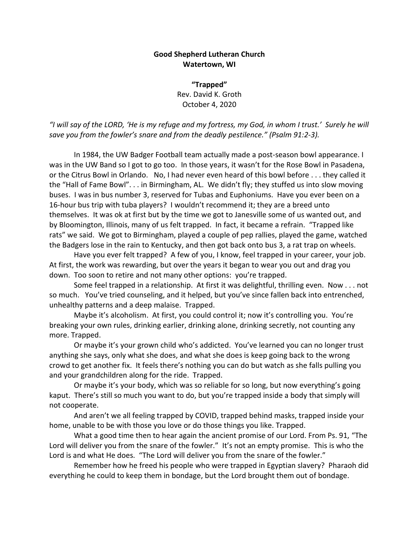## **Good Shepherd Lutheran Church Watertown, WI**

**"Trapped"** Rev. David K. Groth October 4, 2020

*"I will say of the LORD, 'He is my refuge and my fortress, my God, in whom I trust.' Surely he will save you from the fowler's snare and from the deadly pestilence." (Psalm 91:2-3).*

In 1984, the UW Badger Football team actually made a post-season bowl appearance. I was in the UW Band so I got to go too. In those years, it wasn't for the Rose Bowl in Pasadena, or the Citrus Bowl in Orlando. No, I had never even heard of this bowl before . . . they called it the "Hall of Fame Bowl". . . in Birmingham, AL. We didn't fly; they stuffed us into slow moving buses. I was in bus number 3, reserved for Tubas and Euphoniums. Have you ever been on a 16-hour bus trip with tuba players? I wouldn't recommend it; they are a breed unto themselves. It was ok at first but by the time we got to Janesville some of us wanted out, and by Bloomington, Illinois, many of us felt trapped. In fact, it became a refrain. "Trapped like rats" we said. We got to Birmingham, played a couple of pep rallies, played the game, watched the Badgers lose in the rain to Kentucky, and then got back onto bus 3, a rat trap on wheels.

Have you ever felt trapped? A few of you, I know, feel trapped in your career, your job. At first, the work was rewarding, but over the years it began to wear you out and drag you down. Too soon to retire and not many other options: you're trapped.

Some feel trapped in a relationship. At first it was delightful, thrilling even. Now . . . not so much. You've tried counseling, and it helped, but you've since fallen back into entrenched, unhealthy patterns and a deep malaise. Trapped.

Maybe it's alcoholism. At first, you could control it; now it's controlling you. You're breaking your own rules, drinking earlier, drinking alone, drinking secretly, not counting any more. Trapped.

Or maybe it's your grown child who's addicted. You've learned you can no longer trust anything she says, only what she does, and what she does is keep going back to the wrong crowd to get another fix. It feels there's nothing you can do but watch as she falls pulling you and your grandchildren along for the ride. Trapped.

Or maybe it's your body, which was so reliable for so long, but now everything's going kaput. There's still so much you want to do, but you're trapped inside a body that simply will not cooperate.

And aren't we all feeling trapped by COVID, trapped behind masks, trapped inside your home, unable to be with those you love or do those things you like. Trapped.

What a good time then to hear again the ancient promise of our Lord. From Ps. 91, "The Lord will deliver you from the snare of the fowler." It's not an empty promise. This is who the Lord is and what He does. "The Lord will deliver you from the snare of the fowler."

Remember how he freed his people who were trapped in Egyptian slavery? Pharaoh did everything he could to keep them in bondage, but the Lord brought them out of bondage.